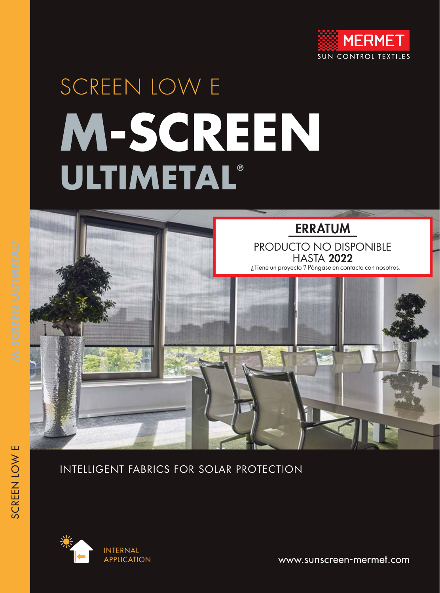

# SCREEN LOW E **M-SCREEN ULTIMETAL®**



# INTELLIGENT FABRICS FOR SOLAR PROTECTION



www.sunscreen-mermet.com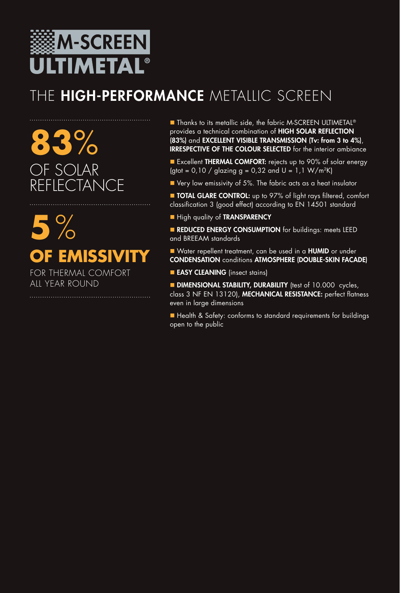

# THE HIGH-PERFORMANCE METALLIC SCREEN

**83**% F SOLAR **FLECTANCE** 

**5**% **OF EMISSIVITY** FOR THERMAL COMFORT ALL YEAR ROUND

■ Thanks to its metallic side, the fabric M-SCREEN ULTIMETAL<sup>®</sup> provides a technical combination of HIGH SOLAR REFLECTION (83%) and EXCELLENT VISIBLE TRANSMISSION (Tv: from 3 to 4%), IRRESPECTIVE OF THE COLOUR SELECTED for the interior ambiance

Excellent THERMAL COMFORT: rejects up to 90% of solar energy (gtot =  $0,10$  / glazing g =  $0,32$  and U =  $1,1$  W/m<sup>2</sup>K)

 $\blacksquare$  Very low emissivity of 5%. The fabric acts as a heat insulator

**TOTAL GLARE CONTROL:** up to 97% of light rays filtered, comfort classification 3 (good effect) according to EN 14501 standard

**High quality of TRANSPARENCY** 

**REDUCED ENERGY CONSUMPTION** for buildings: meets LEED and BREEAM standards

■ Water repellent treatment, can be used in a HUMID or under CONDENSATION conditions ATMOSPHERE (DOUBLE-SKIN FACADE)

**EASY CLEANING** (insect stains)

**DIMENSIONAL STABILITY, DURABILITY** (test of 10.000 cycles, class 3 NF EN 13120), MECHANICAL RESISTANCE: perfect flatness even in large dimensions

■ Health & Safety: conforms to standard requirements for buildings open to the public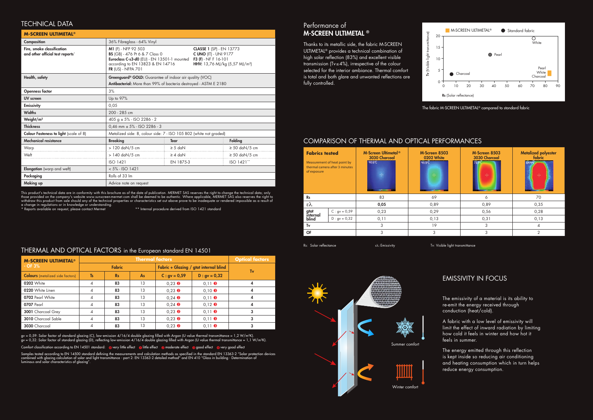20





This product's technical data are in conformity with this brochure as of the date of publication. MERMET SAS reserves the right to change the technical data; only those provided on the company's website www.sunscreen-mermet.com shall be deemed to be authentic. Where applicable, MERMET SAS also reserves the right to withdraw this product from sale should any of the technical properties or characteristics set out above prove to be inadequate or rendered impossible as a result of a change in regulations or in knowledge or understanding.

\* Reports available on request, please contact Mermet \*\* Internal procedure derived from ISO 1421 standard

| <b>M-SCREEN ULTIMETAL<sup>®</sup></b>                          |                                                                                                                                                                                                                                                                                                                    |              |  |                    |  |  |
|----------------------------------------------------------------|--------------------------------------------------------------------------------------------------------------------------------------------------------------------------------------------------------------------------------------------------------------------------------------------------------------------|--------------|--|--------------------|--|--|
| Composition                                                    | 36% Fibreglass - 64% Vinyl                                                                                                                                                                                                                                                                                         |              |  |                    |  |  |
| Fire, smoke classification<br>and other official test reports* | M1 (F) - NFP 92 503<br><b>CLASSE 1 (SP) - EN 13773</b><br><b>BS</b> (GB) - 476 Pt 6 & 7 Class 0<br><b>C UNO (IT) - UNI 9177</b><br>Euroclass C-s3-d0 (EU) - EN 13501-1 mounted F3 (F) - NF F 16-101<br>according to EN 13823 & EN 14716<br>HHV: 13,76 MJ/kg (5,57 MJ/m <sup>2</sup> )<br><b>FR (US) - NFPA 701</b> |              |  |                    |  |  |
| Health, safety                                                 | Greenguard <sup>®</sup> GOLD: Guarantee of indoor air quality (VOC)                                                                                                                                                                                                                                                |              |  |                    |  |  |
|                                                                | Antibacterial: More than 99% of bacteria destroyed - ASTM E 2180                                                                                                                                                                                                                                                   |              |  |                    |  |  |
| <b>Openness factor</b>                                         | 3%                                                                                                                                                                                                                                                                                                                 |              |  |                    |  |  |
| UV screen                                                      | Up to 97%                                                                                                                                                                                                                                                                                                          |              |  |                    |  |  |
| <b>Emissivity</b>                                              | 0,05                                                                                                                                                                                                                                                                                                               |              |  |                    |  |  |
| <b>Widths</b>                                                  | 200 - 285 cm                                                                                                                                                                                                                                                                                                       |              |  |                    |  |  |
| Weight/m <sup>2</sup>                                          | 405 g $\pm$ 5% - ISO 2286 - 2                                                                                                                                                                                                                                                                                      |              |  |                    |  |  |
| <b>Thickness</b>                                               | $0.46$ mm $\pm$ 5% - ISO 2286 - 3                                                                                                                                                                                                                                                                                  |              |  |                    |  |  |
| Colour Fasteness to light (scale of 8)                         | Metalized side: 8, colour side: 7 - ISO 105 B02 (white not graded)                                                                                                                                                                                                                                                 |              |  |                    |  |  |
| <b>Mechanical resistance</b>                                   | <b>Breaking</b>                                                                                                                                                                                                                                                                                                    | <b>Tear</b>  |  | <b>Folding</b>     |  |  |
| Warp                                                           | $> 120$ daN/5 cm                                                                                                                                                                                                                                                                                                   | $\geq 5$ daN |  | $\geq$ 50 daN/5 cm |  |  |
| Weft                                                           | > 140 daN/5 cm                                                                                                                                                                                                                                                                                                     | $\geq 4$ daN |  | $\geq$ 50 daN/5 cm |  |  |
|                                                                | ISO 1421                                                                                                                                                                                                                                                                                                           | EN 1875-3    |  | ISO 1421**         |  |  |
| Elongation (warp and weft)                                     | $< 5\%$ - ISO 1421                                                                                                                                                                                                                                                                                                 |              |  |                    |  |  |
| Packaging                                                      | Rolls of 33 Im                                                                                                                                                                                                                                                                                                     |              |  |                    |  |  |
| <b>Making up</b>                                               | Advice note on request                                                                                                                                                                                                                                                                                             |              |  |                    |  |  |

| <b>M-SCREEN ULTIMETAL<sup>®</sup></b>   | <b>Thermal factors</b> |           |                                        |                                  | <b>Optical factors</b> |   |
|-----------------------------------------|------------------------|-----------|----------------------------------------|----------------------------------|------------------------|---|
| $-$ OF 3%                               | <b>Fabric</b>          |           | Fabric + Glazing / gtot internal blind |                                  | Tv                     |   |
| <b>Colours</b> (metalized side factors) | <b>Ts</b>              | <b>Rs</b> | As                                     | $C: gy = 0.59$                   | $D : gv = 0,32$        |   |
| <b>0202</b> White                       | 4                      | 83        | 13                                     | $0.23$ <b><math>\odot</math></b> | $0.11$ $\odot$         | 4 |
| 0220 White Linen                        | 4                      | 83        | 13                                     | $0.23$ <b><math>\odot</math></b> | $0,10$ $\odot$         | 4 |
| 0702 Pearl White                        | 4                      | 83        | 13                                     | $0,24$ $\odot$                   | $0.11$ $\odot$         | 4 |
| 0707 Pearl                              | 4                      | 83        | 13                                     | $0,24$ <b><math>\odot</math></b> | $0,12$ $\bullet$       | 4 |
| <b>3001</b> Charcoal Grey               | 4                      | 83        | 13                                     | $0.23$ <b><math>\odot</math></b> | $0,11$ $\bullet$       | 3 |
| <b>3010</b> Charcoal Sable              |                        | 83        | 13                                     | $0.23$ <b><math>\odot</math></b> | $0.11$ $\odot$         | 3 |
| 3030 Charcoal                           |                        | 83        | 13                                     | $0.23$ <b><math>\odot</math></b> | $0.11$ $\odot$         | 3 |

### TECHNICAL DATA

### THERMAL AND OPTICAL FACTORS in the European standard EN 14501

| <b>Fabrics tested</b><br>Measurement of heat point by<br>thermal camera after 3 minutes<br>of exposure |                 | M-Screen Ultimetal <sup>®</sup><br><b>3030 Charcoal</b><br>40.6°C | M-Screen 8503<br>0202 White<br>49.9%<br>÷ | M-Screen 8503<br><b>3030 Charcoal</b> | Metalized polyester<br>fabric<br>÷ |
|--------------------------------------------------------------------------------------------------------|-----------------|-------------------------------------------------------------------|-------------------------------------------|---------------------------------------|------------------------------------|
| <b>Rs</b>                                                                                              |                 | 83                                                                | 69                                        | 6                                     | 70                                 |
| $\epsilon \lambda$                                                                                     |                 | 0,05                                                              | 0,89                                      | 0,89                                  | 0,35                               |
| gtot<br>internal<br>blind                                                                              | $C: gy = 0.59$  | 0,23                                                              | 0,29                                      | 0,56                                  | 0,28                               |
|                                                                                                        | $D : gv = 0,32$ | 0,11                                                              | 0,13                                      | 0,31                                  | 0,13                               |
| Tv                                                                                                     |                 | 3                                                                 | 19                                        | 3                                     |                                    |
| <b>OF</b>                                                                                              |                 | 3                                                                 | 3                                         | 3                                     | $\mathcal{P}$                      |

Rs: Solar reflectance **ελ:** Emissivity **TV: Visible light transmittance** 

Thanks to its metallic side, the fabric M-SCREEN ULTIMETAL® provides a technical combination of high solar reflection (83%) and excellent visible transmission (Tv≤4%), irrespective of the colour selected for the interior ambiance. Thermal comfort is total and both glare and unwanted reflections are fully controlled.

### Performance of M-SCREEN ULTIMETAL ®

Rs (Solar reflectance)

gv = 0,59: Solar factor of standard glazing (C), low-emission 4/16/4 double glazing filled with Argon (U value thermal transmittance = 1,2 W/m²K). gv = 0,32: Solar factor of standard glazing (D), reflecting low-emission 4/16/4 double glazing filled with Argon (U value thermal transmittance = 1,1 W/m²K).

Comfort classification according to EN 14501 standard:  $\bullet$  very little effect  $\bullet$  ilittle effect  $\bullet$  moderate effect  $\bullet$  good effect  $\bullet$  very good effect

Samples tested according to EN 14500 standard defining the measurements and calculation methods as specified in the standard EN 13363-2 "Solar protection devices combined with glazing calculation of solar and light transmittance - part 2: EN 13363-2 detailed method" and EN 410 "Glass in building - Determination of luminous and solar characteristics of glazing".



The emissivity of a material is its ability to re-emit the energy received through conduction (heat/cold).

A fabric with a low level of emissivity will limit the effect of inward radiation by limiting how cold it feels in winter and how hot it feels in summer.

The energy emitted through this reflection is kept inside so reducing air conditioning and heating consumption which in turn helps reduce energy consumption.

# EMISSIVITY IN FOCUS

Summer comfort

Winter comfort

### COMPARISON OF THERMAL AND OPTICAL PERFORMANCES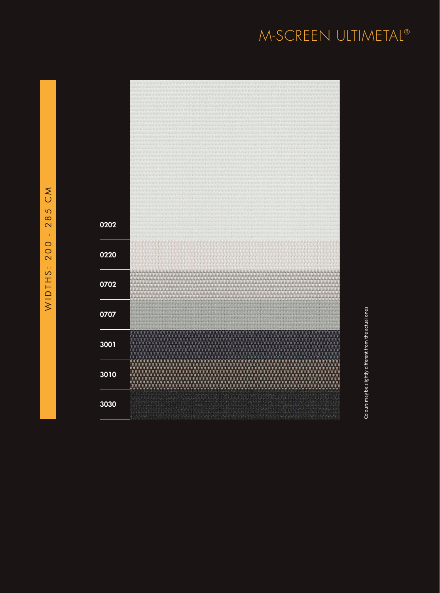# M-SCREEN ULTIMETAL ®



Colours may be slightly different from the actual ones Colours may be slightly different from the actual ones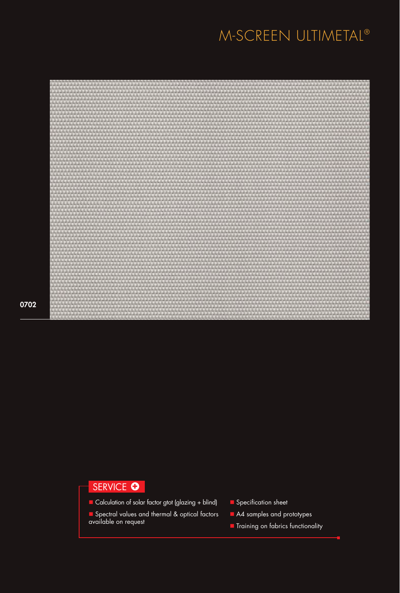# M-SCREEN ULTIMETAL®



0702

# SERVICE O

- Calculation of solar factor gtot (glazing + blind)
- **n** Spectral values and thermal & optical factors available on request
- $\blacksquare$  Specification sheet
- A4 samples and prototypes
- **n** Training on fabrics functionality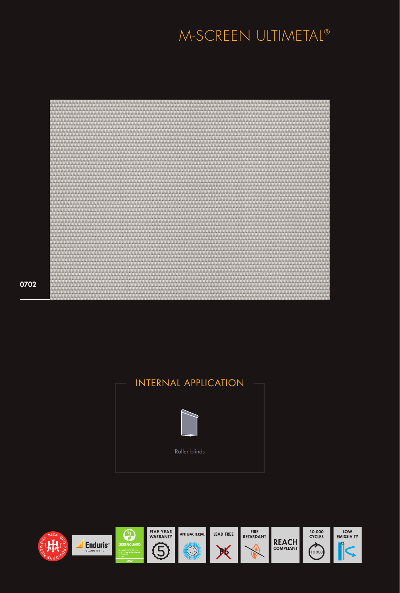# M-SCREEN ULTIMETAL®



Roller blinds INTERNAL APPLICATION